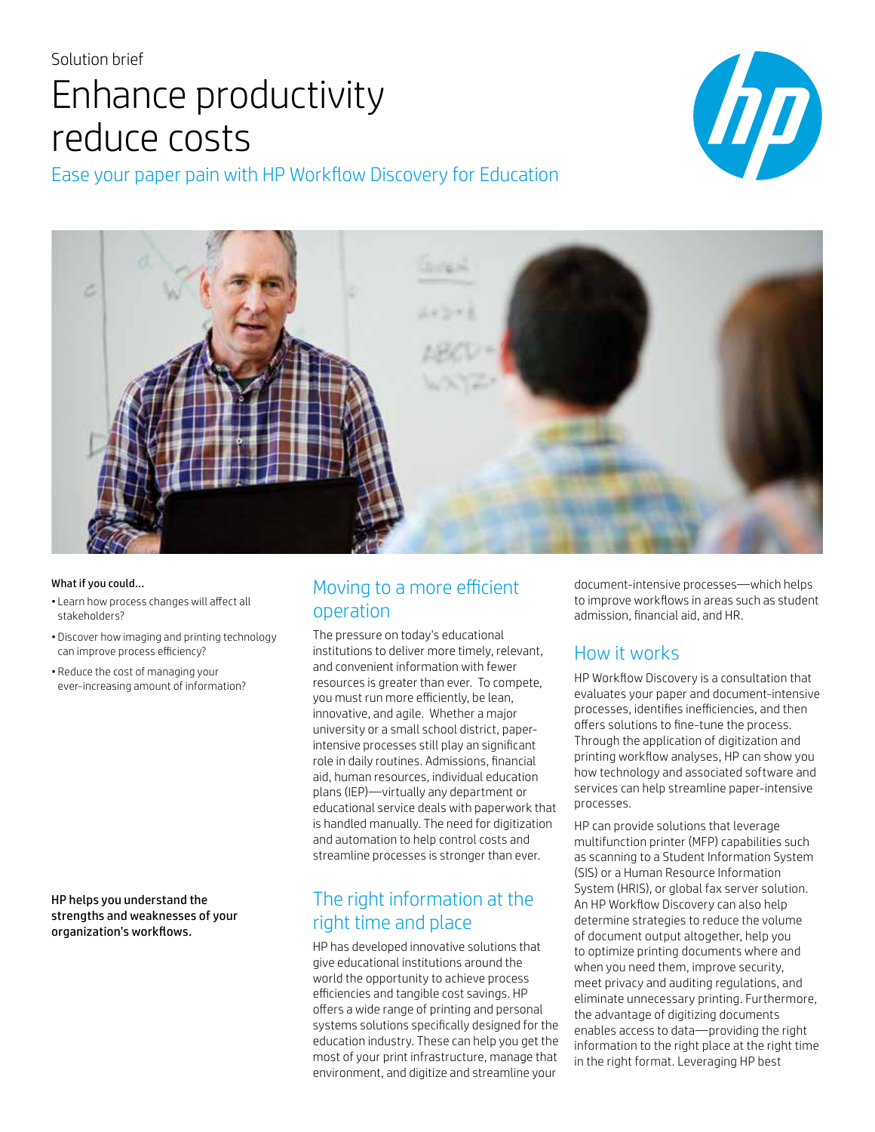# Solution brief Enhance productivity reduce costs

Ease your paper pain with HP Workflow Discovery for Education





#### What if you could...

- Learn how process changes will affect all stakeholders?
- Discover how imaging and printing technology can improve process efficiency?
- Reduce the cost of managing your ever-increasing amount of information?

HP helps you understand the strengths and weaknesses of your organization's workflows.

### Moving to a more efficient operation

The pressure on today's educational institutions to deliver more timely, relevant, and convenient information with fewer resources is greater than ever. To compete, you must run more efficiently, be lean, innovative, and agile. Whether a major university or a small school district, paperintensive processes still play an significant role in daily routines. Admissions, financial aid, human resources, individual education plans (IEP)—virtually any department or educational service deals with paperwork that is handled manually. The need for digitization and automation to help control costs and streamline processes is stronger than ever.

### The right information at the right time and place

HP has developed innovative solutions that give educational institutions around the world the opportunity to achieve process efficiencies and tangible cost savings. HP offers a wide range of printing and personal systems solutions specifically designed for the education industry. These can help you get the most of your print infrastructure, manage that environment, and digitize and streamline your

document-intensive processes—which helps to improve workflows in areas such as student admission, financial aid, and HR.

### How it works

HP Workflow Discovery is a consultation that evaluates your paper and document-intensive processes, identifies inefficiencies, and then offers solutions to fine-tune the process. Through the application of digitization and printing workflow analyses, HP can show you how technology and associated software and services can help streamline paper-intensive processes.

HP can provide solutions that leverage multifunction printer (MFP) capabilities such as scanning to a Student Information System (SIS) or a Human Resource Information System (HRIS), or global fax server solution. An HP Workflow Discovery can also help determine strategies to reduce the volume of document output altogether, help you to optimize printing documents where and when you need them, improve security, meet privacy and auditing regulations, and eliminate unnecessary printing. Furthermore, the advantage of digitizing documents enables access to data—providing the right information to the right place at the right time in the right format. Leveraging HP best